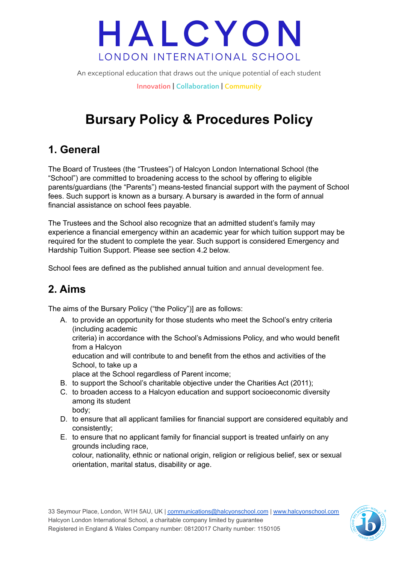An exceptional education that draws out the unique potential of each student

**Innovation | Collaboration | Community**

## **Bursary Policy & Procedures Policy**

### **1. General**

The Board of Trustees (the "Trustees") of Halcyon London International School (the "School") are committed to broadening access to the school by offering to eligible parents/guardians (the "Parents") means-tested financial support with the payment of School fees. Such support is known as a bursary. A bursary is awarded in the form of annual financial assistance on school fees payable.

The Trustees and the School also recognize that an admitted student's family may experience a financial emergency within an academic year for which tuition support may be required for the student to complete the year. Such support is considered Emergency and Hardship Tuition Support. Please see section 4.2 below.

School fees are defined as the published annual tuition and annual development fee.

### **2. Aims**

The aims of the Bursary Policy ("the Policy")] are as follows:

A. to provide an opportunity for those students who meet the School's entry criteria (including academic

criteria) in accordance with the School's Admissions Policy, and who would benefit from a Halcyon

education and will contribute to and benefit from the ethos and activities of the School, to take up a

place at the School regardless of Parent income;

orientation, marital status, disability or age.

- B. to support the School's charitable objective under the Charities Act (2011);
- C. to broaden access to a Halcyon education and support socioeconomic diversity among its student body;
- D. to ensure that all applicant families for financial support are considered equitably and consistently;
- E. to ensure that no applicant family for financial support is treated unfairly on any grounds including race, colour, nationality, ethnic or national origin, religion or religious belief, sex or sexual

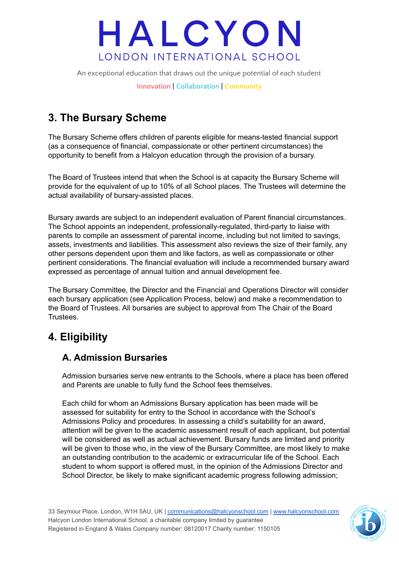An exceptional education that draws out the unique potential of each student **Innovation | Collaboration | Community**

## **3. The Bursary Scheme**

The Bursary Scheme offers children of parents eligible for means-tested financial support (as a consequence of financial, compassionate or other pertinent circumstances) the opportunity to benefit from a Halcyon education through the provision of a bursary.

The Board of Trustees intend that when the School is at capacity the Bursary Scheme will provide for the equivalent of up to 10% of all School places. The Trustees will determine the actual availability of bursary-assisted places.

Bursary awards are subject to an independent evaluation of Parent financial circumstances. The School appoints an independent, professionally-regulated, third-party to liaise with parents to compile an assessment of parental income, including but not limited to savings, assets, investments and liabilities. This assessment also reviews the size of their family, any other persons dependent upon them and like factors, as well as compassionate or other pertinent considerations. The financial evaluation will include a recommended bursary award expressed as percentage of annual tuition and annual development fee.

The Bursary Committee, the Director and the Financial and Operations Director will consider each bursary application (see Application Process, below) and make a recommendation to the Board of Trustees. All bursaries are subject to approval from The Chair of the Board Trustees.

## **4. Eligibility**

#### **A. Admission Bursaries**

Admission bursaries serve new entrants to the Schools, where a place has been offered and Parents are unable to fully fund the School fees themselves.

Each child for whom an Admissions Bursary application has been made will be assessed for suitability for entry to the School in accordance with the School's Admissions Policy and procedures. In assessing a child's suitability for an award, attention will be given to the academic assessment result of each applicant, but potential will be considered as well as actual achievement. Bursary funds are limited and priority will be given to those who, in the view of the Bursary Committee, are most likely to make an outstanding contribution to the academic or extracurricular life of the School. Each student to whom support is offered must, in the opinion of the Admissions Director and School Director, be likely to make significant academic progress following admission;

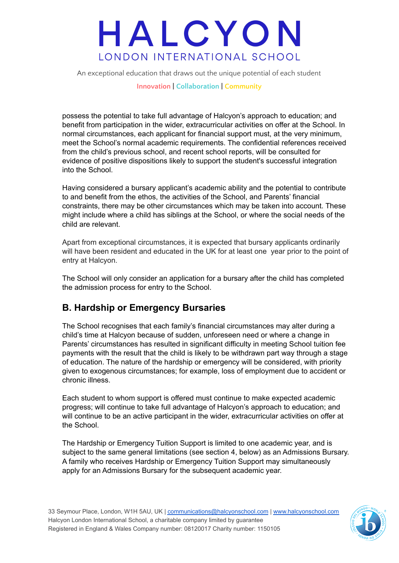An exceptional education that draws out the unique potential of each student

**Innovation | Collaboration | Community**

possess the potential to take full advantage of Halcyon's approach to education; and benefit from participation in the wider, extracurricular activities on offer at the School. In normal circumstances, each applicant for financial support must, at the very minimum, meet the School's normal academic requirements. The confidential references received from the child's previous school, and recent school reports, will be consulted for evidence of positive dispositions likely to support the student's successful integration into the School.

Having considered a bursary applicant's academic ability and the potential to contribute to and benefit from the ethos, the activities of the School, and Parents' financial constraints, there may be other circumstances which may be taken into account. These might include where a child has siblings at the School, or where the social needs of the child are relevant.

Apart from exceptional circumstances, it is expected that bursary applicants ordinarily will have been resident and educated in the UK for at least one year prior to the point of entry at Halcyon.

The School will only consider an application for a bursary after the child has completed the admission process for entry to the School.

#### **B. Hardship or Emergency Bursaries**

The School recognises that each family's financial circumstances may alter during a child's time at Halcyon because of sudden, unforeseen need or where a change in Parents' circumstances has resulted in significant difficulty in meeting School tuition fee payments with the result that the child is likely to be withdrawn part way through a stage of education. The nature of the hardship or emergency will be considered, with priority given to exogenous circumstances; for example, loss of employment due to accident or chronic illness.

Each student to whom support is offered must continue to make expected academic progress; will continue to take full advantage of Halcyon's approach to education; and will continue to be an active participant in the wider, extracurricular activities on offer at the School.

The Hardship or Emergency Tuition Support is limited to one academic year, and is subject to the same general limitations (see section 4, below) as an Admissions Bursary. A family who receives Hardship or Emergency Tuition Support may simultaneously apply for an Admissions Bursary for the subsequent academic year.

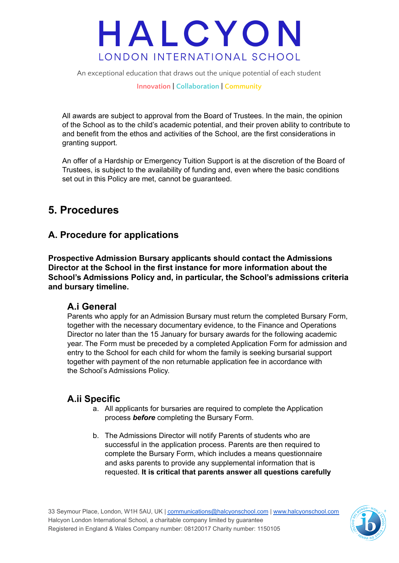An exceptional education that draws out the unique potential of each student

**Innovation | Collaboration | Community**

All awards are subject to approval from the Board of Trustees. In the main, the opinion of the School as to the child's academic potential, and their proven ability to contribute to and benefit from the ethos and activities of the School, are the first considerations in granting support.

An offer of a Hardship or Emergency Tuition Support is at the discretion of the Board of Trustees, is subject to the availability of funding and, even where the basic conditions set out in this Policy are met, cannot be guaranteed.

### **5. Procedures**

#### **A. Procedure for applications**

**Prospective Admission Bursary applicants should contact the Admissions Director at the School in the first instance for more information about the School's Admissions Policy and, in particular, the School's admissions criteria and bursary timeline.**

#### **A.i General**

Parents who apply for an Admission Bursary must return the completed Bursary Form, together with the necessary documentary evidence, to the Finance and Operations Director no later than the 15 January for bursary awards for the following academic year. The Form must be preceded by a completed Application Form for admission and entry to the School for each child for whom the family is seeking bursarial support together with payment of the non returnable application fee in accordance with the School's Admissions Policy.

#### **A.ii Specific**

- a. All applicants for bursaries are required to complete the Application process *before* completing the Bursary Form.
- b. The Admissions Director will notify Parents of students who are successful in the application process. Parents are then required to complete the Bursary Form, which includes a means questionnaire and asks parents to provide any supplemental information that is requested. **It is critical that parents answer all questions carefully**

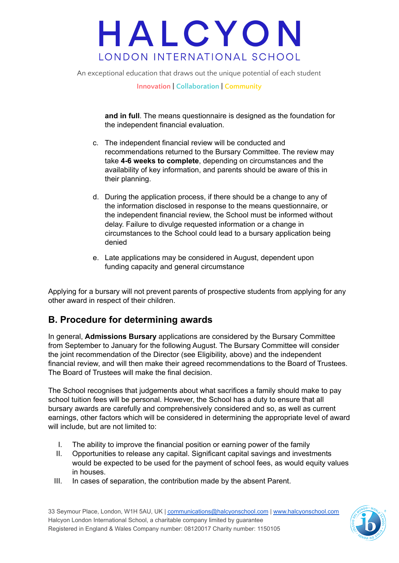An exceptional education that draws out the unique potential of each student

**Innovation | Collaboration | Community**

**and in full**. The means questionnaire is designed as the foundation for the independent financial evaluation.

- c. The independent financial review will be conducted and recommendations returned to the Bursary Committee. The review may take **4-6 weeks to complete**, depending on circumstances and the availability of key information, and parents should be aware of this in their planning.
- d. During the application process, if there should be a change to any of the information disclosed in response to the means questionnaire, or the independent financial review, the School must be informed without delay. Failure to divulge requested information or a change in circumstances to the School could lead to a bursary application being denied
- e. Late applications may be considered in August, dependent upon funding capacity and general circumstance

Applying for a bursary will not prevent parents of prospective students from applying for any other award in respect of their children.

#### **B. Procedure for determining awards**

In general, **Admissions Bursary** applications are considered by the Bursary Committee from September to January for the following August. The Bursary Committee will consider the joint recommendation of the Director (see Eligibility, above) and the independent financial review, and will then make their agreed recommendations to the Board of Trustees. The Board of Trustees will make the final decision.

The School recognises that judgements about what sacrifices a family should make to pay school tuition fees will be personal. However, the School has a duty to ensure that all bursary awards are carefully and comprehensively considered and so, as well as current earnings, other factors which will be considered in determining the appropriate level of award will include, but are not limited to:

- I. The ability to improve the financial position or earning power of the family
- II. Opportunities to release any capital. Significant capital savings and investments would be expected to be used for the payment of school fees, as would equity values in houses.
- III. In cases of separation, the contribution made by the absent Parent.

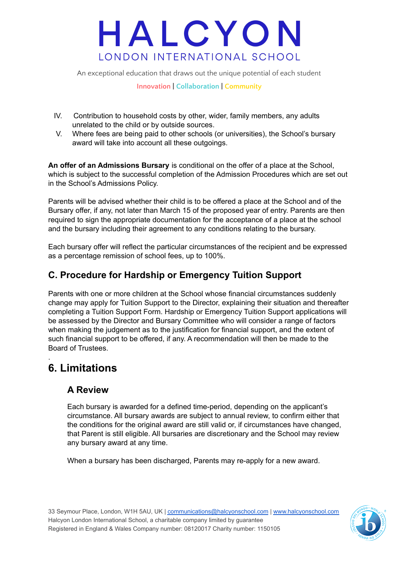An exceptional education that draws out the unique potential of each student

**Innovation | Collaboration | Community**

- IV. Contribution to household costs by other, wider, family members, any adults unrelated to the child or by outside sources.
- V. Where fees are being paid to other schools (or universities), the School's bursary award will take into account all these outgoings.

**An offer of an Admissions Bursary** is conditional on the offer of a place at the School, which is subject to the successful completion of the Admission Procedures which are set out in the School's Admissions Policy.

Parents will be advised whether their child is to be offered a place at the School and of the Bursary offer, if any, not later than March 15 of the proposed year of entry. Parents are then required to sign the appropriate documentation for the acceptance of a place at the school and the bursary including their agreement to any conditions relating to the bursary.

Each bursary offer will reflect the particular circumstances of the recipient and be expressed as a percentage remission of school fees, up to 100%.

#### **C. Procedure for Hardship or Emergency Tuition Support**

Parents with one or more children at the School whose financial circumstances suddenly change may apply for Tuition Support to the Director, explaining their situation and thereafter completing a Tuition Support Form. Hardship or Emergency Tuition Support applications will be assessed by the Director and Bursary Committee who will consider a range of factors when making the judgement as to the justification for financial support, and the extent of such financial support to be offered, if any. A recommendation will then be made to the Board of Trustees.

### **6. Limitations**

.

#### **A Review**

Each bursary is awarded for a defined time-period, depending on the applicant's circumstance. All bursary awards are subject to annual review, to confirm either that the conditions for the original award are still valid or, if circumstances have changed, that Parent is still eligible. All bursaries are discretionary and the School may review any bursary award at any time.

When a bursary has been discharged, Parents may re-apply for a new award.